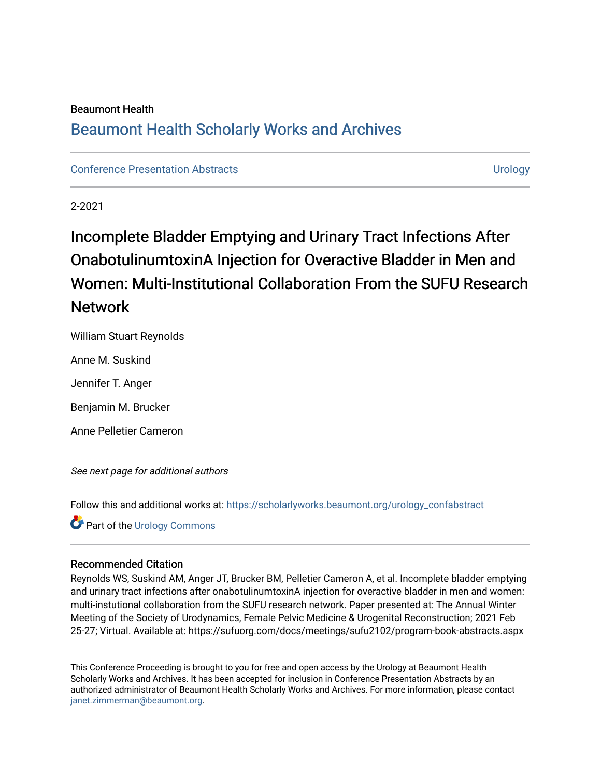## Beaumont Health [Beaumont Health Scholarly Works and Archives](https://scholarlyworks.beaumont.org/)

[Conference Presentation Abstracts](https://scholarlyworks.beaumont.org/urology_confabstract) [Urology](https://scholarlyworks.beaumont.org/urology) 

2-2021

# Incomplete Bladder Emptying and Urinary Tract Infections After OnabotulinumtoxinA Injection for Overactive Bladder in Men and Women: Multi-Institutional Collaboration From the SUFU Research Network

William Stuart Reynolds

Anne M. Suskind

Jennifer T. Anger

Benjamin M. Brucker

Anne Pelletier Cameron

See next page for additional authors

Follow this and additional works at: [https://scholarlyworks.beaumont.org/urology\\_confabstract](https://scholarlyworks.beaumont.org/urology_confabstract?utm_source=scholarlyworks.beaumont.org%2Furology_confabstract%2F38&utm_medium=PDF&utm_campaign=PDFCoverPages)

**Part of the Urology Commons** 

### Recommended Citation

Reynolds WS, Suskind AM, Anger JT, Brucker BM, Pelletier Cameron A, et al. Incomplete bladder emptying and urinary tract infections after onabotulinumtoxinA injection for overactive bladder in men and women: multi-instutional collaboration from the SUFU research network. Paper presented at: The Annual Winter Meeting of the Society of Urodynamics, Female Pelvic Medicine & Urogenital Reconstruction; 2021 Feb 25-27; Virtual. Available at: https://sufuorg.com/docs/meetings/sufu2102/program-book-abstracts.aspx

This Conference Proceeding is brought to you for free and open access by the Urology at Beaumont Health Scholarly Works and Archives. It has been accepted for inclusion in Conference Presentation Abstracts by an authorized administrator of Beaumont Health Scholarly Works and Archives. For more information, please contact [janet.zimmerman@beaumont.org](mailto:janet.zimmerman@beaumont.org).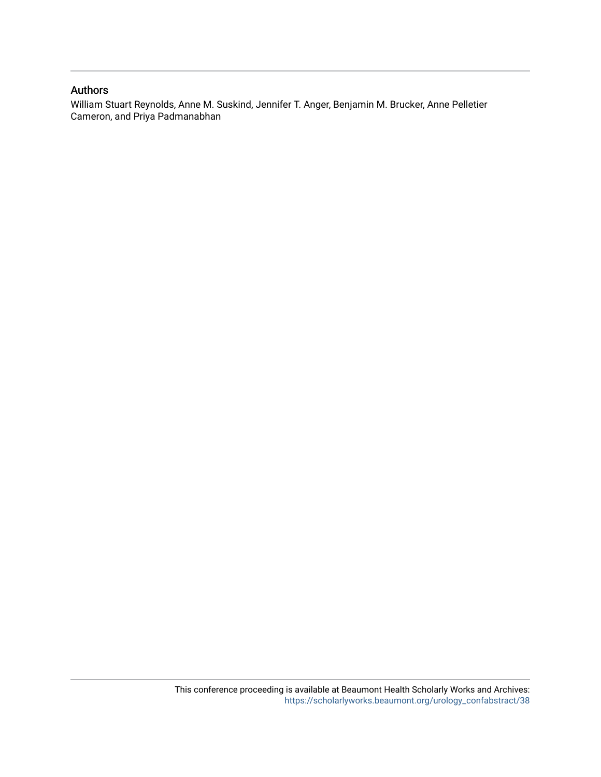#### Authors

William Stuart Reynolds, Anne M. Suskind, Jennifer T. Anger, Benjamin M. Brucker, Anne Pelletier Cameron, and Priya Padmanabhan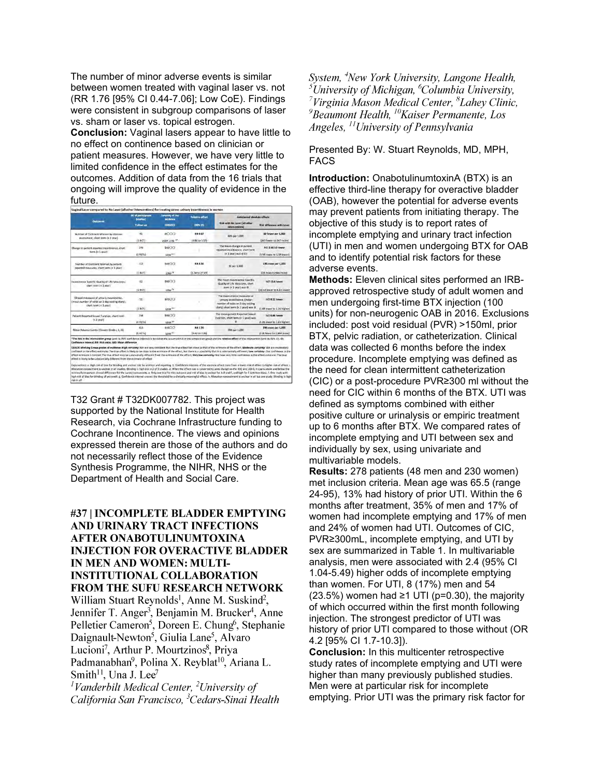The number of minor adverse events is similar between women treated with vaginal laser vs. not (RR 1.76 [95% CI 0.44-7.06]; Low CoE). Findings were consistent in subgroup comparisons of laser vs. sham or laser vs. topical estrogen.

**Conclusion:** Vaginal lasers appear to have little to no effect on continence based on clinician or patient measures. However, we have very little to limited confidence in the effect estimates for the outcomes. Addition of data from the 16 trials that ongoing will improve the quality of evidence in the future.

| (studium)<br>Follow yp.<br>45<br>(1 <sub>R</sub> <sub>T</sub> )<br>246<br>(ERCTL) | ty Monte<br><b>CORADLE</b><br><b>BOOG</b><br>VERY LOW **<br>6800<br>LOW <sup>A </sup> | <b>CRAN EXI</b><br>RR 0.97<br>(0.60 to 1.57)                                                                                                                                                    | <b>Bisk with No Laser (all other</b><br>interventions)<br>509 per 1,000<br>The mean change in patient | <b>Risk difference with Laser</b><br>18 fewer per 1,000<br>(243 fewer to 347 more)                                                                                                                                                                                                                                                                                                                                                                                                                                                                                                                                                                                                                                                                                            |
|-----------------------------------------------------------------------------------|---------------------------------------------------------------------------------------|-------------------------------------------------------------------------------------------------------------------------------------------------------------------------------------------------|-------------------------------------------------------------------------------------------------------|-------------------------------------------------------------------------------------------------------------------------------------------------------------------------------------------------------------------------------------------------------------------------------------------------------------------------------------------------------------------------------------------------------------------------------------------------------------------------------------------------------------------------------------------------------------------------------------------------------------------------------------------------------------------------------------------------------------------------------------------------------------------------------|
|                                                                                   |                                                                                       |                                                                                                                                                                                                 |                                                                                                       |                                                                                                                                                                                                                                                                                                                                                                                                                                                                                                                                                                                                                                                                                                                                                                               |
|                                                                                   |                                                                                       |                                                                                                                                                                                                 |                                                                                                       |                                                                                                                                                                                                                                                                                                                                                                                                                                                                                                                                                                                                                                                                                                                                                                               |
|                                                                                   |                                                                                       |                                                                                                                                                                                                 |                                                                                                       |                                                                                                                                                                                                                                                                                                                                                                                                                                                                                                                                                                                                                                                                                                                                                                               |
|                                                                                   |                                                                                       |                                                                                                                                                                                                 | reported incontinence, short term                                                                     | MD 2.66 SD lawer                                                                                                                                                                                                                                                                                                                                                                                                                                                                                                                                                                                                                                                                                                                                                              |
|                                                                                   |                                                                                       |                                                                                                                                                                                                 | [# 1 year] was 0 5D                                                                                   | (1.94 lower to 1.39 lower)                                                                                                                                                                                                                                                                                                                                                                                                                                                                                                                                                                                                                                                                                                                                                    |
| 113                                                                               | 0000                                                                                  | <b>RR 6.50</b>                                                                                                                                                                                  | 36 per 1,000                                                                                          | 195 more per 1,000                                                                                                                                                                                                                                                                                                                                                                                                                                                                                                                                                                                                                                                                                                                                                            |
| 11.057                                                                            | LOW <sup>14</sup>                                                                     | $(1.54 \text{ to } 27.49)$                                                                                                                                                                      |                                                                                                       | [19 more to 946 more]                                                                                                                                                                                                                                                                                                                                                                                                                                                                                                                                                                                                                                                                                                                                                         |
| 62                                                                                | ee(X)                                                                                 |                                                                                                                                                                                                 | The mean Ireontinence Specific.<br>Quality of Life Measures, short                                    | MD 15.6 lower                                                                                                                                                                                                                                                                                                                                                                                                                                                                                                                                                                                                                                                                                                                                                                 |
| <b>ILBUTE</b>                                                                     | LOW <sup>14</sup>                                                                     |                                                                                                                                                                                                 |                                                                                                       | (22.59 lower to 8.61 lower)                                                                                                                                                                                                                                                                                                                                                                                                                                                                                                                                                                                                                                                                                                                                                   |
| 51.                                                                               | <b>WINDO</b>                                                                          |                                                                                                                                                                                                 |                                                                                                       | MD 0.11 lower                                                                                                                                                                                                                                                                                                                                                                                                                                                                                                                                                                                                                                                                                                                                                                 |
| (ERCT)                                                                            | LOW <sup>N</sup>                                                                      |                                                                                                                                                                                                 | diary); short term (< 1 year) was 0                                                                   | (1)48 lower to 1/26 higheri                                                                                                                                                                                                                                                                                                                                                                                                                                                                                                                                                                                                                                                                                                                                                   |
| 234                                                                               | <b>COLOR</b>                                                                          |                                                                                                                                                                                                 | The mean patient Reported Sexual                                                                      | MD 0.86 lower                                                                                                                                                                                                                                                                                                                                                                                                                                                                                                                                                                                                                                                                                                                                                                 |
| (4 RCTs)                                                                          | LOW. <sup>34</sup>                                                                    |                                                                                                                                                                                                 |                                                                                                       | (3.35 lower to 1.63 higher)                                                                                                                                                                                                                                                                                                                                                                                                                                                                                                                                                                                                                                                                                                                                                   |
| 416                                                                               | <b>0000</b>                                                                           | <b>RR 1.76</b>                                                                                                                                                                                  |                                                                                                       | 296 more per 1,000                                                                                                                                                                                                                                                                                                                                                                                                                                                                                                                                                                                                                                                                                                                                                            |
| $(5$ $RCTs)$                                                                      | LOW <sup>=</sup>                                                                      | $(0.44 \; to \; 7.06)$                                                                                                                                                                          |                                                                                                       | (218 fewer to 2,354 more)                                                                                                                                                                                                                                                                                                                                                                                                                                                                                                                                                                                                                                                                                                                                                     |
|                                                                                   | Confidence Interval; RR: Risk ratio; MD: Mean difference                              | effect estimate is limited: The true effect may be substantially different from the estimate of the effect; Very low certainty: We have very little confidence in the effect estimate: The true |                                                                                                       | term (< 1 year) was 0<br>The mean clinical measures of<br>unisary incentibence, (mean-<br>number of york on 3 day youting<br>Function, short term (r 1 year) was<br>390 per 1,000<br>*The risk in the intervention group (and its 95% confidence interval) is based on the assumed risk in the companion group and the relative effect of the intervention (and its 95% CI). Ct:<br>GRADE Working Group grades of evidence; High certainty: We are very confident that the true effect lies close to that of the estimate of the effect; Moderate certainty: We are moderately<br>confident in the effect estimate: The true effect is likely to be close to the estimate of the effect. but there is a possibility that it is substantially different; Low confidence in the |

T32 Grant # T32DK007782. This project was supported by the National Institute for Health Research, via Cochrane Infrastructure funding to Cochrane Incontinence. The views and opinions expressed therein are those of the authors and do not necessarily reflect those of the Evidence Synthesis Programme, the NIHR, NHS or the Department of Health and Social Care.

#### #37 | INCOMPLETE BLADDER EMPTYING AND URINARY TRACT INFECTIONS **AFTER ONABOTULINUMTOXINA INJECTION FOR OVERACTIVE BLADDER** IN MEN AND WOMEN: MULTI-**INSTITUTIONAL COLLABORATION FROM THE SUFU RESEARCH NETWORK**

William Stuart Reynolds<sup>1</sup>, Anne M. Suskind<sup>2</sup>, Jennifer T. Anger<sup>3</sup>, Benjamin M. Brucker<sup>4</sup>, Anne Pelletier Cameron<sup>5</sup>, Doreen E. Chung<sup>6</sup>, Stephanie Daignault-Newton<sup>5</sup>, Giulia Lane<sup>5</sup>, Alvaro Lucioni<sup>7</sup>, Arthur P. Mourtzinos<sup>8</sup>, Priva Padmanabhan<sup>9</sup>, Polina X. Reyblat<sup>10</sup>, Ariana L. Smith<sup>11</sup>, Una J. Lee<sup>7</sup>

<sup>1</sup>Vanderbilt Medical Center,  $\frac{2}{V}$  University of California San Francisco, <sup>3</sup>Cedars-Sinai Health System, <sup>4</sup>New York University, Langone Health, <sup>5</sup>University of Michigan,  $^{6}$ Columbia University, <sup>7</sup>Virginia Mason Medical Center,  ${}^{8}$ Lahey Clinic,  ${}^{9}$ Beaumont Health,  ${}^{10}$ Kaiser Permanente, Los Angeles, <sup>11</sup>University of Pennsylvania

Presented By: W. Stuart Reynolds, MD, MPH, FACS

**Introduction:** OnabotulinumtoxinA (BTX) is an effective third-line therapy for overactive bladder (OAB), however the potential for adverse events may prevent patients from initiating therapy. The objective of this study is to report rates of incomplete emptying and urinary tract infection (UTI) in men and women undergoing BTX for OAB and to identify potential risk factors for these adverse events.

**Methods:** Eleven clinical sites performed an IRBapproved retrospective study of adult women and men undergoing first-time BTX injection (100 units) for non-neurogenic OAB in 2016. Exclusions included: post void residual (PVR) >150ml, prior BTX, pelvic radiation, or catheterization. Clinical data was collected 6 months before the index procedure. Incomplete emptying was defined as the need for clean intermittent catheterization (CIC) or a post-procedure PVR≥300 ml without the need for CIC within 6 months of the BTX. UTI was defined as symptoms combined with either positive culture or urinalysis or empiric treatment up to 6 months after BTX. We compared rates of incomplete emptying and UTI between sex and individually by sex, using univariate and multivariable models.

**Results:** 278 patients (48 men and 230 women) met inclusion criteria. Mean age was 65.5 (range 24-95), 13% had history of prior UTI. Within the 6 months after treatment, 35% of men and 17% of women had incomplete emptying and 17% of men and 24% of women had UTI. Outcomes of CIC, PVR≥300mL, incomplete emptying, and UTI by sex are summarized in Table 1. In multivariable analysis, men were associated with 2.4 (95% CI 1.04-5.49) higher odds of incomplete emptying than women. For UTI, 8 (17%) men and 54 (23.5%) women had  $\geq$ 1 UTI (p=0.30), the majority of which occurred within the first month following injection. The strongest predictor of UTI was history of prior UTI compared to those without (OR 4.2 [95% CI 1.7-10.3]).

**Conclusion:** In this multicenter retrospective study rates of incomplete emptying and UTI were higher than many previously published studies. Men were at particular risk for incomplete emptying. Prior UTI was the primary risk factor for